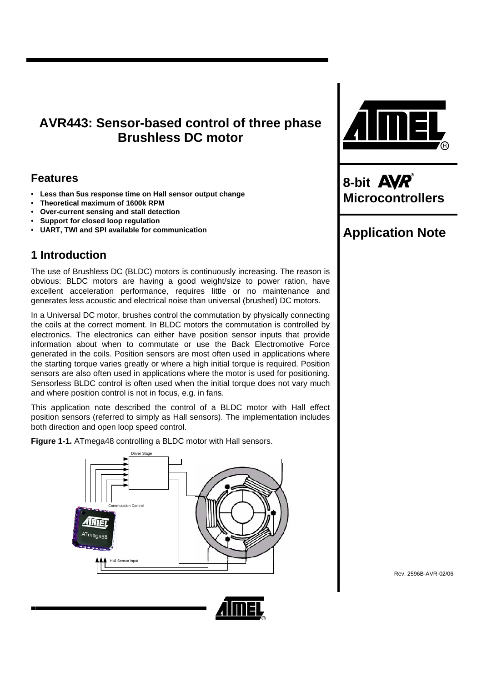# **AVR443: Sensor-based control of three phase Brushless DC motor**

## **Features**

- **Less than 5us response time on Hall sensor output change**
- **Theoretical maximum of 1600k RPM**
- **Over-current sensing and stall detection**
- **Support for closed loop regulation**
- **UART, TWI and SPI available for communication**

## **1 Introduction**

The use of Brushless DC (BLDC) motors is continuously increasing. The reason is obvious: BLDC motors are having a good weight/size to power ration, have excellent acceleration performance, requires little or no maintenance and generates less acoustic and electrical noise than universal (brushed) DC motors.

In a Universal DC motor, brushes control the commutation by physically connecting the coils at the correct moment. In BLDC motors the commutation is controlled by electronics. The electronics can either have position sensor inputs that provide information about when to commutate or use the Back Electromotive Force generated in the coils. Position sensors are most often used in applications where the starting torque varies greatly or where a high initial torque is required. Position sensors are also often used in applications where the motor is used for positioning. Sensorless BLDC control is often used when the initial torque does not vary much and where position control is not in focus, e.g. in fans.

This application note described the control of a BLDC motor with Hall effect position sensors (referred to simply as Hall sensors). The implementation includes both direction and open loop speed control.

<span id="page-0-0"></span>**Figure 1-1.** ATmega48 controlling a BLDC motor with Hall sensors.







**8-bit Microcontrollers** 

# **Application Note**

Rev. 2596B-AVR-02/06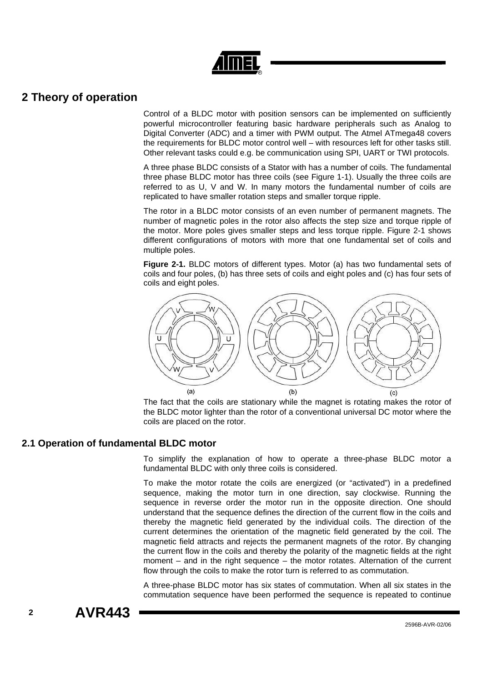## **2 Theory of operation**

Control of a BLDC motor with position sensors can be implemented on sufficiently powerful microcontroller featuring basic hardware peripherals such as Analog to Digital Converter (ADC) and a timer with PWM output. The Atmel ATmega48 covers the requirements for BLDC motor control well – with resources left for other tasks still. Other relevant tasks could e.g. be communication using SPI, UART or TWI protocols.

A three phase BLDC consists of a Stator with has a number of coils. The fundamental three phase BLDC motor has three coils (see [Figure 1-1\)](#page-0-0). Usually the three coils are referred to as U, V and W. In many motors the fundamental number of coils are replicated to have smaller rotation steps and smaller torque ripple.

The rotor in a BLDC motor consists of an even number of permanent magnets. The number of magnetic poles in the rotor also affects the step size and torque ripple of the motor. More poles gives smaller steps and less torque ripple. [Figure 2-1](#page-1-0) shows different configurations of motors with more that one fundamental set of coils and multiple poles.

<span id="page-1-0"></span>**Figure 2-1.** BLDC motors of different types. Motor (a) has two fundamental sets of coils and four poles, (b) has three sets of coils and eight poles and (c) has four sets of coils and eight poles.



The fact that the coils are stationary while the magnet is rotating makes the rotor of the BLDC motor lighter than the rotor of a conventional universal DC motor where the coils are placed on the rotor.

## **2.1 Operation of fundamental BLDC motor**

To simplify the explanation of how to operate a three-phase BLDC motor a fundamental BLDC with only three coils is considered.

To make the motor rotate the coils are energized (or "activated") in a predefined sequence, making the motor turn in one direction, say clockwise. Running the sequence in reverse order the motor run in the opposite direction. One should understand that the sequence defines the direction of the current flow in the coils and thereby the magnetic field generated by the individual coils. The direction of the current determines the orientation of the magnetic field generated by the coil. The magnetic field attracts and rejects the permanent magnets of the rotor. By changing the current flow in the coils and thereby the polarity of the magnetic fields at the right moment – and in the right sequence – the motor rotates. Alternation of the current flow through the coils to make the rotor turn is referred to as commutation.

A three-phase BLDC motor has six states of commutation. When all six states in the commutation sequence have been performed the sequence is repeated to continue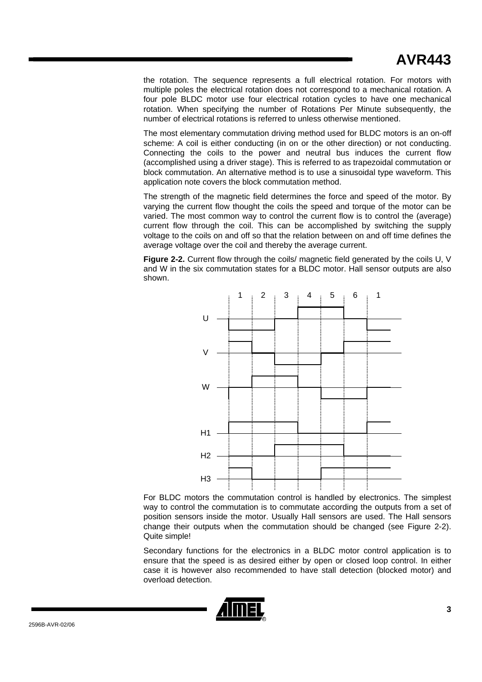# **AVR443**

the rotation. The sequence represents a full electrical rotation. For motors with multiple poles the electrical rotation does not correspond to a mechanical rotation. A four pole BLDC motor use four electrical rotation cycles to have one mechanical rotation. When specifying the number of Rotations Per Minute subsequently, the number of electrical rotations is referred to unless otherwise mentioned.

The most elementary commutation driving method used for BLDC motors is an on-off scheme: A coil is either conducting (in on or the other direction) or not conducting. Connecting the coils to the power and neutral bus induces the current flow (accomplished using a driver stage). This is referred to as trapezoidal commutation or block commutation. An alternative method is to use a sinusoidal type waveform. This application note covers the block commutation method.

The strength of the magnetic field determines the force and speed of the motor. By varying the current flow thought the coils the speed and torque of the motor can be varied. The most common way to control the current flow is to control the (average) current flow through the coil. This can be accomplished by switching the supply voltage to the coils on and off so that the relation between on and off time defines the average voltage over the coil and thereby the average current.

<span id="page-2-0"></span>**Figure 2-2.** Current flow through the coils/ magnetic field generated by the coils U, V and W in the six commutation states for a BLDC motor. Hall sensor outputs are also shown.



For BLDC motors the commutation control is handled by electronics. The simplest way to control the commutation is to commutate according the outputs from a set of position sensors inside the motor. Usually Hall sensors are used. The Hall sensors change their outputs when the commutation should be changed (see [Figure 2-2\)](#page-2-0). Quite simple!

Secondary functions for the electronics in a BLDC motor control application is to ensure that the speed is as desired either by open or closed loop control. In either case it is however also recommended to have stall detection (blocked motor) and overload detection.

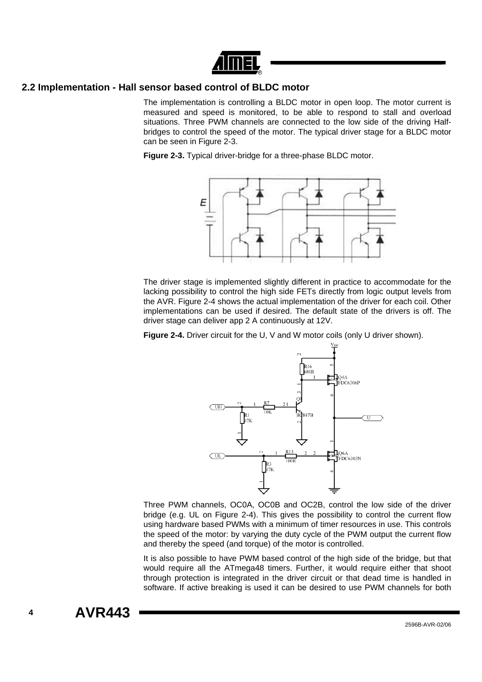

## **2.2 Implementation - Hall sensor based control of BLDC motor**

The implementation is controlling a BLDC motor in open loop. The motor current is measured and speed is monitored, to be able to respond to stall and overload situations. Three PWM channels are connected to the low side of the driving Halfbridges to control the speed of the motor. The typical driver stage for a BLDC motor can be seen in [Figure 2-3.](#page-3-0)

<span id="page-3-0"></span>**Figure 2-3.** Typical driver-bridge for a three-phase BLDC motor.



The driver stage is implemented slightly different in practice to accommodate for the lacking possibility to control the high side FETs directly from logic output levels from the AVR. [Figure 2-4](#page-3-1) shows the actual implementation of the driver for each coil. Other implementations can be used if desired. The default state of the drivers is off. The driver stage can deliver app 2 A continuously at 12V.

<span id="page-3-1"></span>**Figure 2-4.** Driver circuit for the U, V and W motor coils (only U driver shown).



Three PWM channels, OC0A, OC0B and OC2B, control the low side of the driver bridge (e.g. UL on [Figure 2-4\)](#page-3-1). This gives the possibility to control the current flow using hardware based PWMs with a minimum of timer resources in use. This controls the speed of the motor: by varying the duty cycle of the PWM output the current flow and thereby the speed (and torque) of the motor is controlled.

It is also possible to have PWM based control of the high side of the bridge, but that would require all the ATmega48 timers. Further, it would require either that shoot through protection is integrated in the driver circuit or that dead time is handled in software. If active breaking is used it can be desired to use PWM channels for both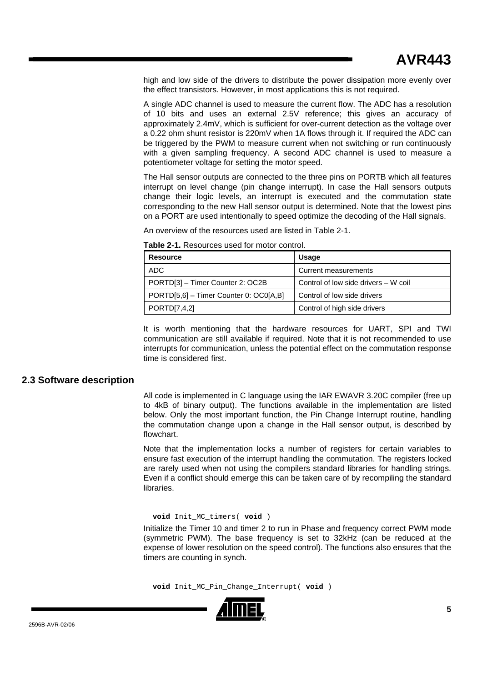high and low side of the drivers to distribute the power dissipation more evenly over the effect transistors. However, in most applications this is not required.

A single ADC channel is used to measure the current flow. The ADC has a resolution of 10 bits and uses an external 2.5V reference; this gives an accuracy of approximately 2.4mV, which is sufficient for over-current detection as the voltage over a 0.22 ohm shunt resistor is 220mV when 1A flows through it. If required the ADC can be triggered by the PWM to measure current when not switching or run continuously with a given sampling frequency. A second ADC channel is used to measure a potentiometer voltage for setting the motor speed.

The Hall sensor outputs are connected to the three pins on PORTB which all features interrupt on level change (pin change interrupt). In case the Hall sensors outputs change their logic levels, an interrupt is executed and the commutation state corresponding to the new Hall sensor output is determined. Note that the lowest pins on a PORT are used intentionally to speed optimize the decoding of the Hall signals.

An overview of the resources used are listed in [Table 2-1.](#page-4-0)

| <b>Resource</b>                        | <b>Usage</b>                         |
|----------------------------------------|--------------------------------------|
| ADC                                    | Current measurements                 |
| PORTD[3] - Timer Counter 2: OC2B       | Control of low side drivers – W coil |
| PORTD[5,6] - Timer Counter 0: OC0[A,B] | Control of low side drivers          |
| PORTD[7,4,2]                           | Control of high side drivers         |

<span id="page-4-0"></span>**Table 2-1.** Resources used for motor control.

It is worth mentioning that the hardware resources for UART, SPI and TWI communication are still available if required. Note that it is not recommended to use interrupts for communication, unless the potential effect on the commutation response time is considered first.

## **2.3 Software description**

All code is implemented in C language using the IAR EWAVR 3.20C compiler (free up to 4kB of binary output). The functions available in the implementation are listed below. Only the most important function, the Pin Change Interrupt routine, handling the commutation change upon a change in the Hall sensor output, is described by flowchart.

Note that the implementation locks a number of registers for certain variables to ensure fast execution of the interrupt handling the commutation. The registers locked are rarely used when not using the compilers standard libraries for handling strings. Even if a conflict should emerge this can be taken care of by recompiling the standard **libraries** 

**void** Init\_MC\_timers( **void** )

Initialize the Timer 10 and timer 2 to run in Phase and frequency correct PWM mode (symmetric PWM). The base frequency is set to 32kHz (can be reduced at the expense of lower resolution on the speed control). The functions also ensures that the timers are counting in synch.

**void** Init\_MC\_Pin\_Change\_Interrupt( **void** )

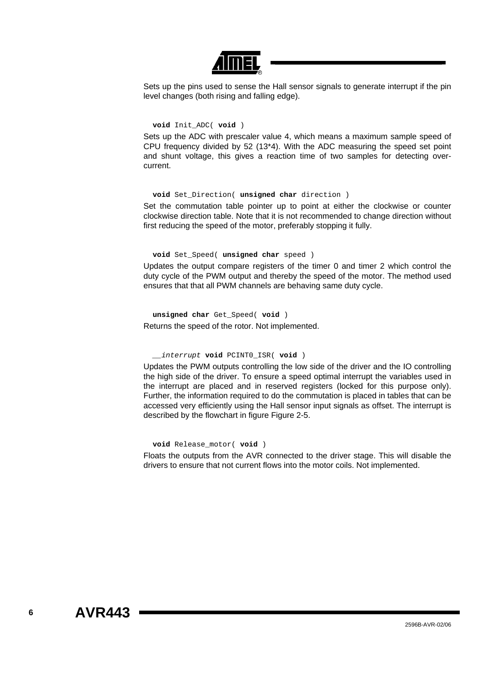

Sets up the pins used to sense the Hall sensor signals to generate interrupt if the pin level changes (both rising and falling edge).

#### **void** Init\_ADC( **void** )

Sets up the ADC with prescaler value 4, which means a maximum sample speed of CPU frequency divided by 52 (13\*4). With the ADC measuring the speed set point and shunt voltage, this gives a reaction time of two samples for detecting overcurrent.

## **void** Set\_Direction( **unsigned char** direction )

Set the commutation table pointer up to point at either the clockwise or counter clockwise direction table. Note that it is not recommended to change direction without first reducing the speed of the motor, preferably stopping it fully.

#### **void** Set\_Speed( **unsigned char** speed )

Updates the output compare registers of the timer 0 and timer 2 which control the duty cycle of the PWM output and thereby the speed of the motor. The method used ensures that that all PWM channels are behaving same duty cycle.

**unsigned char** Get\_Speed( **void** ) Returns the speed of the rotor. Not implemented.

#### *\_\_interrupt* **void** PCINT0\_ISR( **void** )

Updates the PWM outputs controlling the low side of the driver and the IO controlling the high side of the driver. To ensure a speed optimal interrupt the variables used in the interrupt are placed and in reserved registers (locked for this purpose only). Further, the information required to do the commutation is placed in tables that can be accessed very efficiently using the Hall sensor input signals as offset. The interrupt is described by the flowchart in figure [Figure 2-5.](#page-6-0)

#### **void** Release\_motor( **void** )

Floats the outputs from the AVR connected to the driver stage. This will disable the drivers to ensure that not current flows into the motor coils. Not implemented.

**6 AVR443**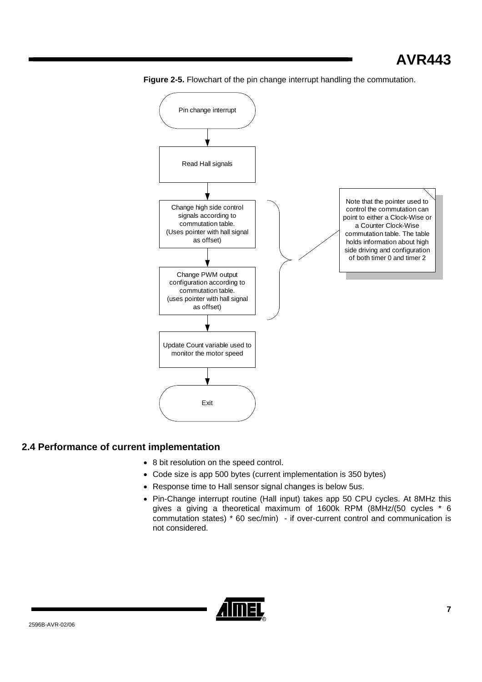

<span id="page-6-0"></span>

## **2.4 Performance of current implementation**

- 8 bit resolution on the speed control.
- Code size is app 500 bytes (current implementation is 350 bytes)
- Response time to Hall sensor signal changes is below 5us.
- Pin-Change interrupt routine (Hall input) takes app 50 CPU cycles. At 8MHz this gives a giving a theoretical maximum of 1600k RPM (8MHz/(50 cycles \* 6 commutation states) \* 60 sec/min) - if over-current control and communication is not considered.